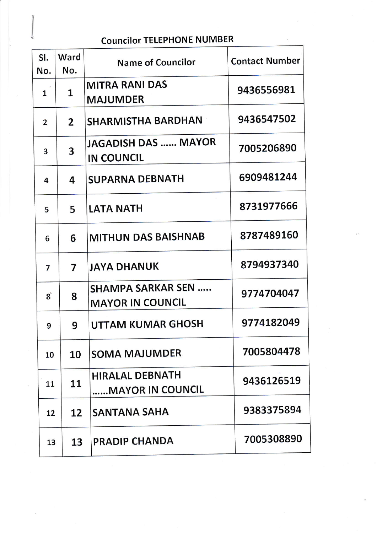## Councilor TELEPHONE NUMBER

| SI.<br>No.                                | Ward<br>No.    | <b>Name of Councilor</b>                             | <b>Contact Number</b> |
|-------------------------------------------|----------------|------------------------------------------------------|-----------------------|
| 1                                         | 1              | <b>MITRA RANI DAS</b><br><b>MAJUMDER</b>             | 9436556981            |
| $\overline{2}$                            | $\overline{2}$ | <b>SHARMISTHA BARDHAN</b>                            | 9436547502            |
| 3                                         | 3              | <b>JAGADISH DAS  MAYOR</b><br><b>IN COUNCIL</b>      | 7005206890            |
| 4                                         | 4              | <b>SUPARNA DEBNATH</b>                               | 6909481244            |
| 5                                         | 5              | <b>LATA NATH</b>                                     | 8731977666            |
| 6                                         | 6              | <b>MITHUN DAS BAISHNAB</b>                           | 8787489160            |
| 7                                         | 7              | <b>JAYA DHANUK</b>                                   | 8794937340            |
| $\mathbf{g}^{\mathbf{\mathsf{\^{\circ}}}$ | 8              | <b>SHAMPA SARKAR SEN </b><br><b>MAYOR IN COUNCIL</b> | 9774704047            |
| 9                                         | 9              | UTTAM KUMAR GHOSH                                    | 9774182049            |
| 10                                        | 10             | <b>SOMA MAJUMDER</b>                                 | 7005804478            |
| 11                                        | 11             | <b>HIRALAL DEBNATH</b><br><b>MAYOR IN COUNCIL</b>    | 9436126519            |
| 12                                        | 12             | SANTANA SAHA                                         | 9383375894            |
| 13                                        | 13             | <b>PRADIP CHANDA</b>                                 | 7005308890            |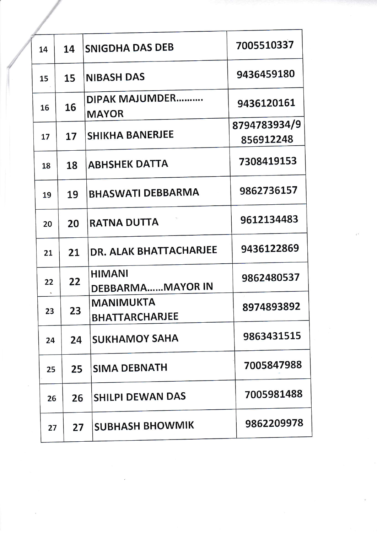| 14 | 14 | <b>SNIGDHA DAS DEB</b>                    | 7005510337                |
|----|----|-------------------------------------------|---------------------------|
| 15 | 15 | <b>NIBASH DAS</b>                         | 9436459180                |
| 16 | 16 | <b>DIPAK MAJUMDER</b><br><b>MAYOR</b>     | 9436120161                |
| 17 | 17 | <b>SHIKHA BANERJEE</b>                    | 8794783934/9<br>856912248 |
| 18 | 18 | <b>ABHSHEK DATTA</b>                      | 7308419153                |
| 19 | 19 | <b>BHASWATI DEBBARMA</b>                  | 9862736157                |
| 20 | 20 | <b>RATNA DUTTA</b>                        | 9612134483                |
| 21 | 21 | DR. ALAK BHATTACHARJEE                    | 9436122869                |
| 22 | 22 | <b>HIMANI</b><br><b>DEBBARMAMAYOR IN</b>  | 9862480537                |
| 23 | 23 | <b>MANIMUKTA</b><br><b>BHATTARCHARJEE</b> | 8974893892                |
| 24 | 24 | <b>SUKHAMOY SAHA</b>                      | 9863431515                |
| 25 | 25 | <b>SIMA DEBNATH</b>                       | 7005847988                |
| 26 | 26 | <b>SHILPI DEWAN DAS</b>                   | 7005981488                |
| 27 | 27 | <b>SUBHASH BHOWMIK</b>                    | 9862209978                |
|    |    |                                           |                           |

 $\omega_{\rm i}$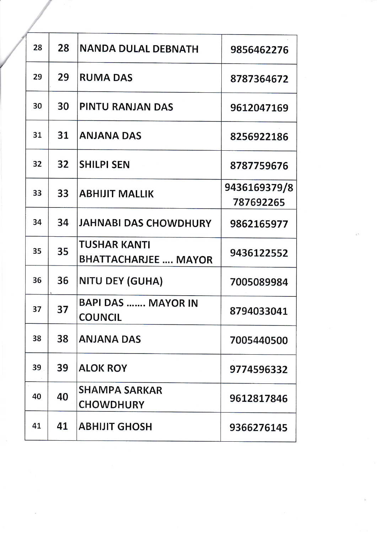| 28 | 28 | <b>NANDA DULAL DEBNATH</b>                         | 9856462276                |
|----|----|----------------------------------------------------|---------------------------|
| 29 | 29 | <b>RUMA DAS</b>                                    | 8787364672                |
| 30 | 30 | PINTU RANJAN DAS                                   | 9612047169                |
| 31 | 31 | <b>ANJANA DAS</b>                                  | 8256922186                |
| 32 | 32 | <b>SHILPI SEN</b>                                  | 8787759676                |
| 33 | 33 | <b>ABHIJIT MALLIK</b>                              | 9436169379/8<br>787692265 |
| 34 | 34 | JAHNABI DAS CHOWDHURY                              | 9862165977                |
| 35 | 35 | <b>TUSHAR KANTI</b><br><b>BHATTACHARJEE  MAYOR</b> | 9436122552                |
| 36 | 36 | <b>NITU DEY (GUHA)</b>                             | 7005089984                |
| 37 | 37 | <b>BAPI DAS  MAYOR IN</b><br><b>COUNCIL</b>        | 8794033041                |
| 38 | 38 | <b>ANJANA DAS</b>                                  | 7005440500                |
| 39 | 39 | <b>ALOK ROY</b>                                    | 9774596332                |
| 40 | 40 | <b>SHAMPA SARKAR</b><br><b>CHOWDHURY</b>           | 9612817846                |
| 41 | 41 | <b>ABHIJIT GHOSH</b>                               | 9366276145                |

/